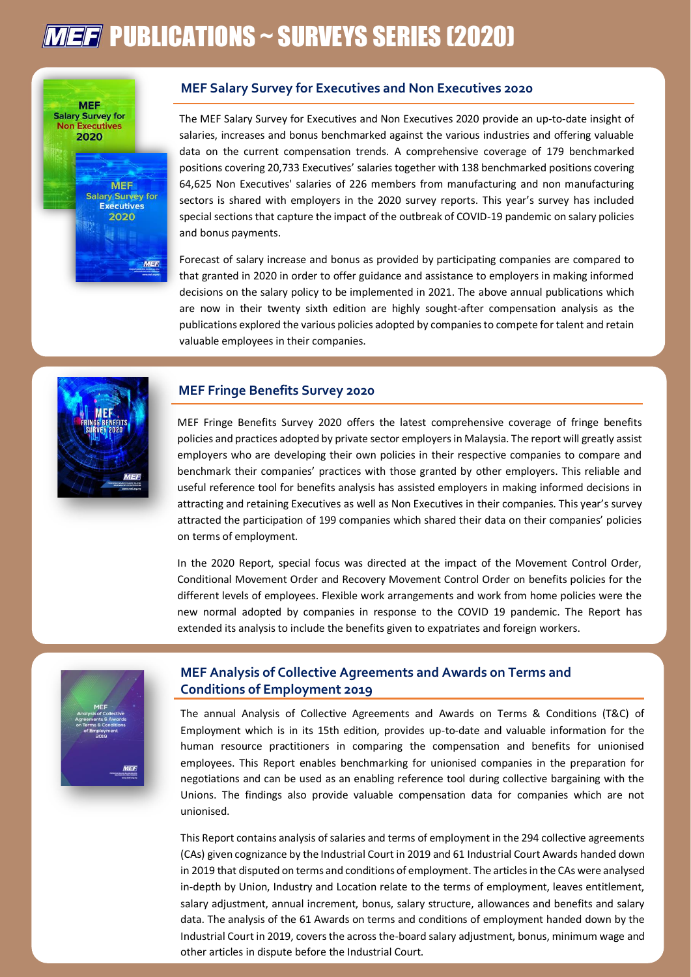# **MEF** PUBLICATIONS ~ SURVEYS SERIES (2020)



### **MEF Salary Survey for Executives and Non Executives 2020**

The MEF Salary Survey for Executives and Non Executives 2020 provide an up-to-date insight of salaries, increases and bonus benchmarked against the various industries and offering valuable data on the current compensation trends. A comprehensive coverage of 179 benchmarked positions covering 20,733 Executives' salaries together with 138 benchmarked positions covering 64,625 Non Executives' salaries of 226 members from manufacturing and non manufacturing sectors is shared with employers in the 2020 survey reports. This year's survey has included special sections that capture the impact of the outbreak of COVID-19 pandemic on salary policies and bonus payments.

Forecast of salary increase and bonus as provided by participating companies are compared to that granted in 2020 in order to offer guidance and assistance to employers in making informed decisions on the salary policy to be implemented in 2021. The above annual publications which are now in their twenty sixth edition are highly sought-after compensation analysis as the publications explored the various policies adopted by companies to compete for talent and retain valuable employees in their companies.

### **MEF Fringe Benefits Survey 2020**

MEF Fringe Benefits Survey 2020 offers the latest comprehensive coverage of fringe benefits policies and practices adopted by private sector employers in Malaysia. The report will greatly assist employers who are developing their own policies in their respective companies to compare and benchmark their companies' practices with those granted by other employers. This reliable and useful reference tool for benefits analysis has assisted employers in making informed decisions in attracting and retaining Executives as well as Non Executives in their companies. This year's survey attracted the participation of 199 companies which shared their data on their companies' policies on terms of employment.

In the 2020 Report, special focus was directed at the impact of the Movement Control Order, Conditional Movement Order and Recovery Movement Control Order on benefits policies for the different levels of employees. Flexible work arrangements and work from home policies were the new normal adopted by companies in response to the COVID 19 pandemic. The Report has extended its analysis to include the benefits given to expatriates and foreign workers.



## **MEF Analysis of Collective Agreements and Awards on Terms and Conditions of Employment 2019**

The annual Analysis of Collective Agreements and Awards on Terms & Conditions (T&C) of Employment which is in its 15th edition, provides up-to-date and valuable information for the human resource practitioners in comparing the compensation and benefits for unionised employees. This Report enables benchmarking for unionised companies in the preparation for negotiations and can be used as an enabling reference tool during collective bargaining with the Unions. The findings also provide valuable compensation data for companies which are not unionised.

This Report contains analysis of salaries and terms of employment in the 294 collective agreements (CAs) given cognizance by the Industrial Court in 2019 and 61 Industrial Court Awards handed down in 2019 that disputed on terms and conditions of employment. The articles in the CAs were analysed in-depth by Union, Industry and Location relate to the terms of employment, leaves entitlement, salary adjustment, annual increment, bonus, salary structure, allowances and benefits and salary data. The analysis of the 61 Awards on terms and conditions of employment handed down by the Industrial Court in 2019, covers the across the-board salary adjustment, bonus, minimum wage and other articles in dispute before the Industrial Court.